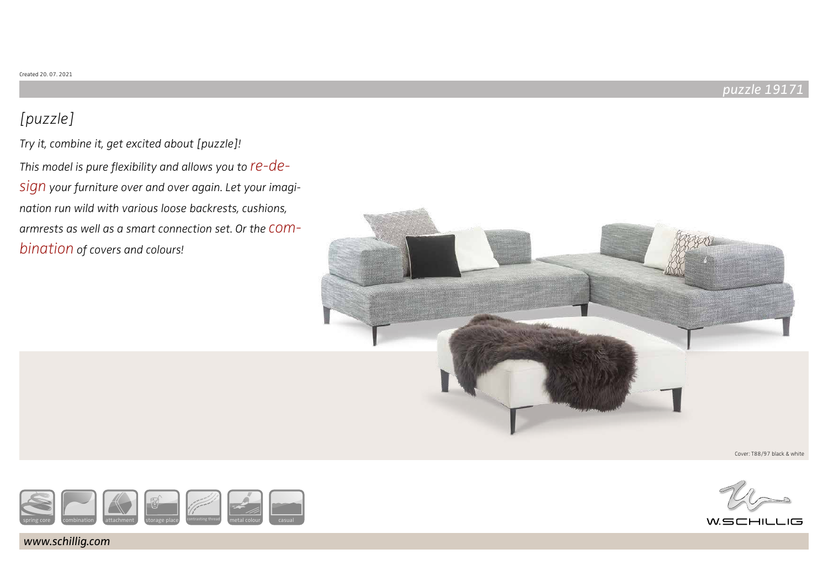## puzzle 19171

# [puzzle]

Try it, combine it, get excited about [puzzle]! This model is pure flexibility and allows you to  $re-de$ sign your furniture over and over again. Let your imagination run wild with various loose backrests, cushions, armrests as well as a smart connection set. Or the combination of covers and colours!





www.schillig.com



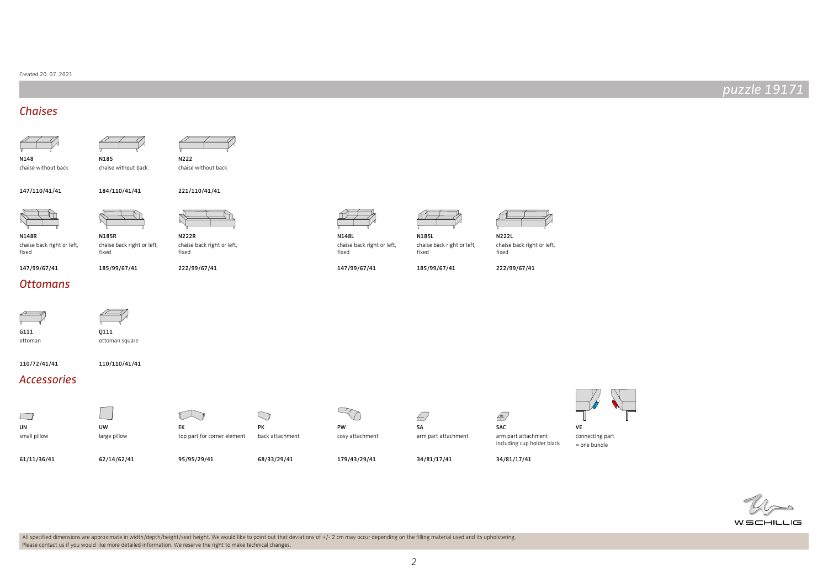### Created 20. 07. 2021

## puzzle 19171

## **Chaises**





N148 chaise without back N222 chaise without back

147/110/41/41

221/110/41/41



fixed

N148R



chaise back right or left, N222R

fixed

N185

chaise without back

184/110/41/41

185/99/67/41

chaise back right or left, fixed

222/99/67/41

### **Ottomans**

147/99/67/41



ottoman

Q111 ottoman square

110/72/41/41 110/110/41/41

## Accessories



small pillow

61/11/36/41



UW large pillow

62/14/62/41

 $\mathbb{R}$ 



95/95/29/41

back attachment



179/43/29/41

N148L

fixed

chaise back right or left,

147/99/67/41

 $\epsilon$ SA arm part attachment

34/81/17/41

N185L

fixed

chaise back right or left,

185/99/67/41



Ð SAC

arm part attachment including cup holder black



34/81/17/41



WSCHILLIG

All specified dimensions are approximate in width/depth/height/seat height. We would like to point out that deviations of +/- 2 cm may occur depending on the filling material used and its upholstering. Please contact us if you would like more detailed information. We reserve the right to make technical changes.

PK

 $\bigcirc$ 

68/33/29/41



222/99/67/41

chaise back right or left,

N222L

fixed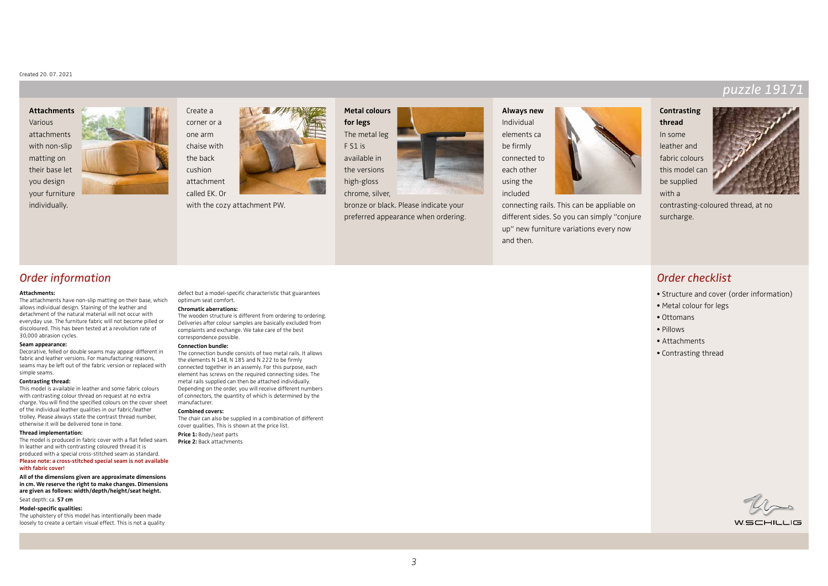### Created 20. 07. 2021

### **Attachments** Various attachments with non-slip

matting on their base let you design your furniture individually.



Create a corner or a one arm chaise with the back cushion attachment called EK. Or

with the cozy attachment PW.



bronze or black. Please indicate your preferred appearance when ordering.



connecting rails. This can be appliable on different sides. So you can simply "conjure up" new furniture variations every now and then.

## puzzle 191

## **Contrasting**

**thread** In some leather and fabric colours this model can be supplied with a



contrasting-coloured thread, at no surcharge.

## Order information

#### **Attachments:**

The attachments have non-slip matting on their base, which allows individual design. Staining of the leather and detachment of the natural material will not occur with everyday use. The furniture fabric will not become pilled or discoloured. This has been tested at a revolution rate of 30,000 abrasion cycles.

#### **Seam appearance:**

Decorative, felled or double seams may appear different in fabric and leather versions. For manufacturing reasons, seams may be left out of the fabric version or replaced with simple seams.

#### **Contrasting thread:**

This model is available in leather and some fabric colours with contrasting colour thread on request at no extra charge. You will find the specified colours on the cover sheet of the individual leather qualities in our fabric/leather trolley. Please always state the contrast thread number, otherwise it will be delivered tone in tone.

### **Thread implementation:**

The model is produced in fabric cover with a flat felled seam. In leather and with contrasting coloured thread it is produced with a special cross-stitched seam as standard. **Please note: a cross-stitched special seam is not available** 

#### **with fabric cover!**

**All of the dimensions given are approximate dimensions in cm. We reserve the right to make changes. Dimensions are given as follows: width/depth/height/seat height.** Seat depth: ca. **57 cm**

### **Model-specific qualities:**

The upholstery of this model has intentionally been made loosely to create a certain visual effect. This is not a quality defect but a model-specific characteristic that guarantees optimum seat comfort.

#### **Chromatic aberrations:**

The wooden structure is different from ordering to ordering. Deliveries after colour samples are basically excluded from complaints and exchange. We take care of the best correspondence possible.

#### **Connection bundle:**

The connection bundle consists of two metal rails. It allows the elements N 148, N 185 and N 222 to be firmly connected together in an assemly. For this purpose, each element has screws on the required connecting sides. The metal rails supplied can then be attached individually. Depending on the order, you will receive different numbers of connectors, the quantity of which is determined by the manufacturer.

#### **Combined covers:**

The chair can also be supplied in a combination of different cover qualities. This is shown at the price list. **Price 1:** Body/seat parts

**Price 2:** Back attachments



- Structure and cover (order information)
- Metal colour for legs
- Ottomans
- Pillows
- Attachments
- Contrasting thread

WSCHILLIG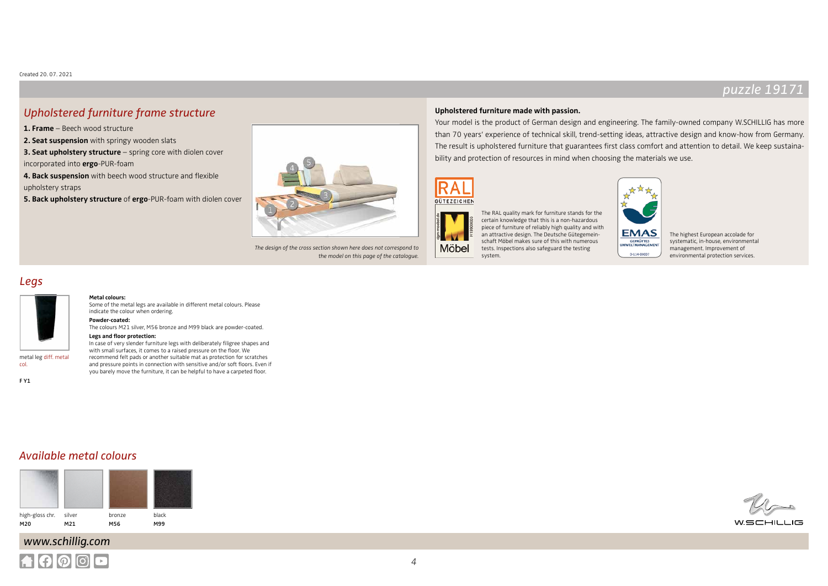## $puzz$ le 1917

## Upholstered furniture frame structure

**1. Frame** – Beech wood structure

**2. Seat suspension** with springy wooden slats

**3. Seat upholstery structure** – spring core with diolen cover incorporated into **ergo**-PUR-foam

**4. Back suspension** with beech wood structure and flexible

upholstery straps

**5. Back upholstery structure** of **ergo**-PUR-foam with diolen cover



The design of the cross section shown here does not correspond to the model on this page of the catalogue.

### **Upholstered furniture made with passion.**

Your model is the product of German design and engineering. The family-owned company W.SCHILLIG has more than 70 years' experience of technical skill, trend-setting ideas, attractive design and know-how from Germany. The result is upholstered furniture that guarantees first class comfort and attention to detail. We keep sustainability and protection of resources in mind when choosing the materials we use.

> **EMAS GEPRÜFTES**<br>WELTMANAGEMEN

> > D-114-00007





Möbel

The RAL quality mark for furniture stands for the certain knowledge that this is a non-hazardous piece of furniture of reliably high quality and with an attractive design. The Deutsche Gütegemeinschaft Möbel makes sure of this with numerous tests. Inspections also safeguard the testing system.

The highest European accolade for systematic, in-house, environmental management. Improvement of environmental protection services.

## Legs



### **Metal colours:**

Some of the metal legs are available in different metal colours. Please indicate the colour when ordering.

**Powder-coated:** The colours M21 silver, M56 bronze and M99 black are powder-coated.

#### **Legs and floor protection:**

In case of very slender furniture legs with deliberately filigree shapes and with small surfaces, it comes to a raised pressure on the floor. We recommend felt pads or another suitable mat as protection for scratches and pressure points in connection with sensitive and/or soft floors. Even if you barely move the furniture, it can be helpful to have a carpeted floor.

col. F Y1

## Available metal colours



# www.schillig.com